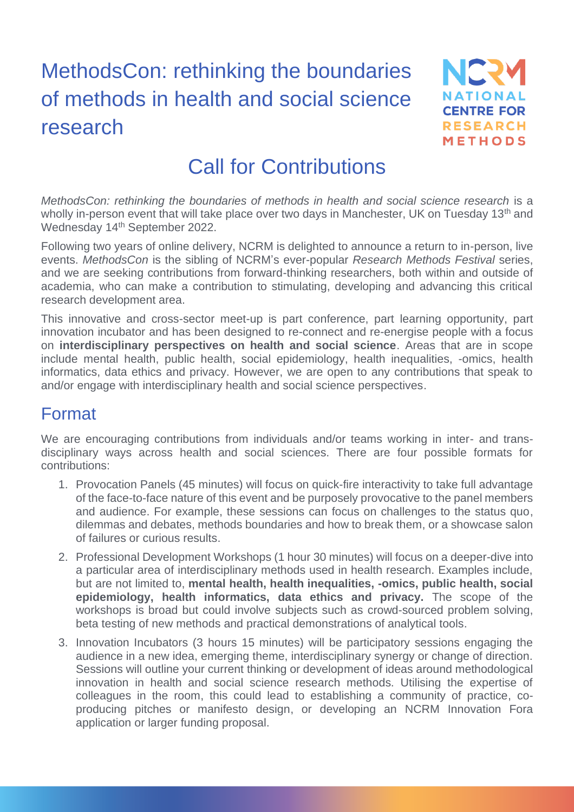# MethodsCon: rethinking the boundaries of methods in health and social science research



## Call for Contributions

*MethodsCon: rethinking the boundaries of methods in health and social science research* is a wholly in-person event that will take place over two days in Manchester, UK on Tuesday 13<sup>th</sup> and Wednesday 14<sup>th</sup> September 2022.

Following two years of online delivery, NCRM is delighted to announce a return to in-person, live events. *MethodsCon* is the sibling of NCRM's ever-popular *Research Methods Festival* series, and we are seeking contributions from forward-thinking researchers, both within and outside of academia, who can make a contribution to stimulating, developing and advancing this critical research development area.

This innovative and cross-sector meet-up is part conference, part learning opportunity, part innovation incubator and has been designed to re-connect and re-energise people with a focus on **interdisciplinary perspectives on health and social science**. Areas that are in scope include mental health, public health, social epidemiology, health inequalities, -omics, health informatics, data ethics and privacy. However, we are open to any contributions that speak to and/or engage with interdisciplinary health and social science perspectives.

#### Format

We are encouraging contributions from individuals and/or teams working in inter- and transdisciplinary ways across health and social sciences. There are four possible formats for contributions:

- 1. Provocation Panels (45 minutes) will focus on quick-fire interactivity to take full advantage of the face-to-face nature of this event and be purposely provocative to the panel members and audience. For example, these sessions can focus on challenges to the status quo, dilemmas and debates, methods boundaries and how to break them, or a showcase salon of failures or curious results.
- 2. Professional Development Workshops (1 hour 30 minutes) will focus on a deeper-dive into a particular area of interdisciplinary methods used in health research. Examples include, but are not limited to, **mental health, health inequalities, -omics, public health, social epidemiology, health informatics, data ethics and privacy.** The scope of the workshops is broad but could involve subjects such as crowd-sourced problem solving, beta testing of new methods and practical demonstrations of analytical tools.
- 3. Innovation Incubators (3 hours 15 minutes) will be participatory sessions engaging the audience in a new idea, emerging theme, interdisciplinary synergy or change of direction. Sessions will outline your current thinking or development of ideas around methodological innovation in health and social science research methods. Utilising the expertise of colleagues in the room, this could lead to establishing a community of practice, coproducing pitches or manifesto design, or developing an NCRM Innovation Fora application or larger funding proposal.